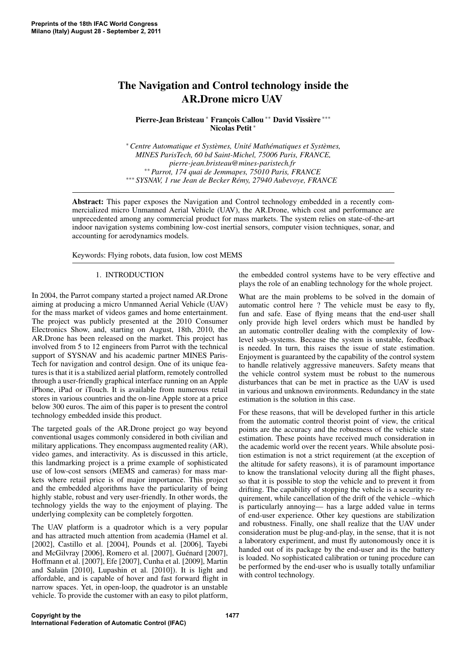# The Navigation and Control technology inside the AR.Drone micro UAV

Pierre-Jean Bristeau <sup>∗</sup> François Callou ∗∗ David Vissière ∗∗∗ Nicolas Petit <sup>∗</sup>

<sup>∗</sup>*Centre Automatique et Systèmes, Unité Mathématiques et Systèmes, MINES ParisTech, 60 bd Saint-Michel, 75006 Paris, FRANCE, pierre-jean.bristeau@mines-paristech.fr* ∗∗ *Parrot, 174 quai de Jemmapes, 75010 Paris, FRANCE* ∗∗∗ *SYSNAV, 1 rue Jean de Becker Rémy, 27940 Aubevoye, FRANCE*

Abstract: This paper exposes the Navigation and Control technology embedded in a recently commercialized micro Unmanned Aerial Vehicle (UAV), the AR.Drone, which cost and performance are unprecedented among any commercial product for mass markets. The system relies on state-of-the-art indoor navigation systems combining low-cost inertial sensors, computer vision techniques, sonar, and accounting for aerodynamics models.

Keywords: Flying robots, data fusion, low cost MEMS

# 1. INTRODUCTION

In 2004, the Parrot company started a project named AR.Drone aiming at producing a micro Unmanned Aerial Vehicle (UAV) for the mass market of videos games and home entertainment. The project was publicly presented at the 2010 Consumer Electronics Show, and, starting on August, 18th, 2010, the AR.Drone has been released on the market. This project has involved from 5 to 12 engineers from Parrot with the technical support of SYSNAV and his academic partner MINES Paris-Tech for navigation and control design. One of its unique features is that it is a stabilized aerial platform, remotely controlled through a user-friendly graphical interface running on an Apple iPhone, iPad or iTouch. It is available from numerous retail stores in various countries and the on-line Apple store at a price below 300 euros. The aim of this paper is to present the control technology embedded inside this product.

The targeted goals of the AR.Drone project go way beyond conventional usages commonly considered in both civilian and military applications. They encompass augmented reality (AR), video games, and interactivity. As is discussed in this article, this landmarking project is a prime example of sophisticated use of low-cost sensors (MEMS and cameras) for mass markets where retail price is of major importance. This project and the embedded algorithms have the particularity of being highly stable, robust and very user-friendly. In other words, the technology yields the way to the enjoyment of playing. The underlying complexity can be completely forgotten.

The UAV platform is a quadrotor which is a very popular and has attracted much attention from academia (Hamel et al. [2002], Castillo et al. [2004], Pounds et al. [2006], Tayebi and McGilvray [2006], Romero et al. [2007], Guénard [2007], Hoffmann et al. [2007], Efe [2007], Cunha et al. [2009], Martin and Salaün [2010], Lupashin et al. [2010]). It is light and affordable, and is capable of hover and fast forward flight in narrow spaces. Yet, in open-loop, the quadrotor is an unstable vehicle. To provide the customer with an easy to pilot platform, the embedded control systems have to be very effective and plays the role of an enabling technology for the whole project.

What are the main problems to be solved in the domain of automatic control here ? The vehicle must be easy to fly, fun and safe. Ease of flying means that the end-user shall only provide high level orders which must be handled by an automatic controller dealing with the complexity of lowlevel sub-systems. Because the system is unstable, feedback is needed. In turn, this raises the issue of state estimation. Enjoyment is guaranteed by the capability of the control system to handle relatively aggressive maneuvers. Safety means that the vehicle control system must be robust to the numerous disturbances that can be met in practice as the UAV is used in various and unknown environments. Redundancy in the state estimation is the solution in this case.

For these reasons, that will be developed further in this article from the automatic control theorist point of view, the critical points are the accuracy and the robustness of the vehicle state estimation. These points have received much consideration in the academic world over the recent years. While absolute position estimation is not a strict requirement (at the exception of the altitude for safety reasons), it is of paramount importance to know the translational velocity during all the flight phases, so that it is possible to stop the vehicle and to prevent it from drifting. The capability of stopping the vehicle is a security requirement, while cancellation of the drift of the vehicle –which is particularly annoying— has a large added value in terms of end-user experience. Other key questions are stabilization and robustness. Finally, one shall realize that the UAV under consideration must be plug-and-play, in the sense, that it is not a laboratory experiment, and must fly autonomously once it is handed out of its package by the end-user and its the battery is loaded. No sophisticated calibration or tuning procedure can be performed by the end-user who is usually totally unfamiliar with control technology.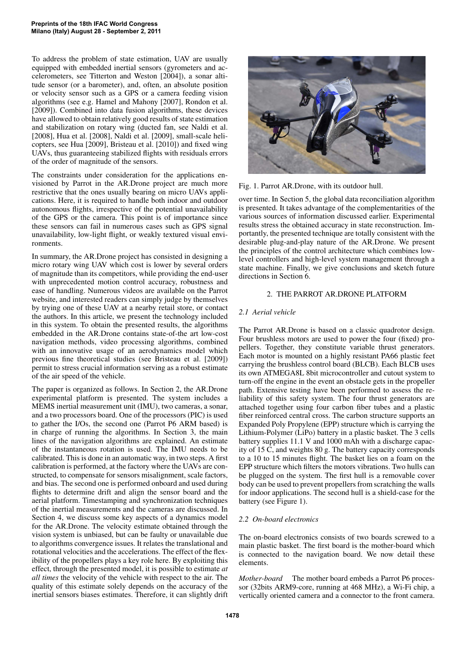To address the problem of state estimation, UAV are usually equipped with embedded inertial sensors (gyrometers and accelerometers, see Titterton and Weston [2004]), a sonar altitude sensor (or a barometer), and, often, an absolute position or velocity sensor such as a GPS or a camera feeding vision algorithms (see e.g. Hamel and Mahony [2007], Rondon et al. [2009]). Combined into data fusion algorithms, these devices have allowed to obtain relatively good results of state estimation and stabilization on rotary wing (ducted fan, see Naldi et al. [2008], Hua et al. [2008], Naldi et al. [2009], small-scale helicopters, see Hua [2009], Bristeau et al. [2010]) and fixed wing UAVs, thus guaranteeing stabilized flights with residuals errors of the order of magnitude of the sensors.

The constraints under consideration for the applications envisioned by Parrot in the AR.Drone project are much more restrictive that the ones usually bearing on micro UAVs applications. Here, it is required to handle both indoor and outdoor autonomous flights, irrespective of the potential unavailability of the GPS or the camera. This point is of importance since these sensors can fail in numerous cases such as GPS signal unavailability, low-light flight, or weakly textured visual environments.

In summary, the AR.Drone project has consisted in designing a micro rotary wing UAV which cost is lower by several orders of magnitude than its competitors, while providing the end-user with unprecedented motion control accuracy, robustness and ease of handling. Numerous videos are available on the Parrot website, and interested readers can simply judge by themselves by trying one of these UAV at a nearby retail store, or contact the authors. In this article, we present the technology included in this system. To obtain the presented results, the algorithms embedded in the AR.Drone contains state-of-the art low-cost navigation methods, video processing algorithms, combined with an innovative usage of an aerodynamics model which previous fine theoretical studies (see Bristeau et al. [2009]) permit to stress crucial information serving as a robust estimate of the air speed of the vehicle.

The paper is organized as follows. In Section 2, the AR.Drone experimental platform is presented. The system includes a MEMS inertial measurement unit (IMU), two cameras, a sonar, and a two processors board. One of the processors (PIC) is used to gather the I/Os, the second one (Parrot P6 ARM based) is in charge of running the algorithms. In Section 3, the main lines of the navigation algorithms are explained. An estimate of the instantaneous rotation is used. The IMU needs to be calibrated. This is done in an automatic way, in two steps. A first calibration is performed, at the factory where the UAVs are constructed, to compensate for sensors misalignment, scale factors, and bias. The second one is performed onboard and used during flights to determine drift and align the sensor board and the aerial platform. Timestamping and synchronization techniques of the inertial measurements and the cameras are discussed. In Section 4, we discuss some key aspects of a dynamics model for the AR.Drone. The velocity estimate obtained through the vision system is unbiased, but can be faulty or unavailable due to algorithms convergence issues. It relates the translational and rotational velocities and the accelerations. The effect of the flexibility of the propellers plays a key role here. By exploiting this effect, through the presented model, it is possible to estimate *at all times* the velocity of the vehicle with respect to the air. The quality of this estimate solely depends on the accuracy of the inertial sensors biases estimates. Therefore, it can slightly drift



Fig. 1. Parrot AR.Drone, with its outdoor hull.

over time. In Section 5, the global data reconciliation algorithm is presented. It takes advantage of the complementarities of the various sources of information discussed earlier. Experimental results stress the obtained accuracy in state reconstruction. Importantly, the presented technique are totally consistent with the desirable plug-and-play nature of the AR.Drone. We present the principles of the control architecture which combines lowlevel controllers and high-level system management through a state machine. Finally, we give conclusions and sketch future directions in Section 6.

# 2. THE PARROT AR.DRONE PLATFORM

# *2.1 Aerial vehicle*

The Parrot AR.Drone is based on a classic quadrotor design. Four brushless motors are used to power the four (fixed) propellers. Together, they constitute variable thrust generators. Each motor is mounted on a highly resistant PA66 plastic feet carrying the brushless control board (BLCB). Each BLCB uses its own ATMEGA8L 8bit microcontroller and cutout system to turn-off the engine in the event an obstacle gets in the propeller path. Extensive testing have been performed to assess the reliability of this safety system. The four thrust generators are attached together using four carbon fiber tubes and a plastic fiber reinforced central cross. The carbon structure supports an Expanded Poly Propylene (EPP) structure which is carrying the Lithium-Polymer (LiPo) battery in a plastic basket. The 3 cells battery supplies 11.1 V and 1000 mAh with a discharge capacity of 15 C, and weights 80 g. The battery capacity corresponds to a 10 to 15 minutes flight. The basket lies on a foam on the EPP structure which filters the motors vibrations. Two hulls can be plugged on the system. The first hull is a removable cover body can be used to prevent propellers from scratching the walls for indoor applications. The second hull is a shield-case for the battery (see Figure 1).

# *2.2 On-board electronics*

The on-board electronics consists of two boards screwed to a main plastic basket. The first board is the mother-board which is connected to the navigation board. We now detail these elements.

*Mother-board* The mother board embeds a Parrot P6 processor (32bits ARM9-core, running at 468 MHz), a Wi-Fi chip, a vertically oriented camera and a connector to the front camera.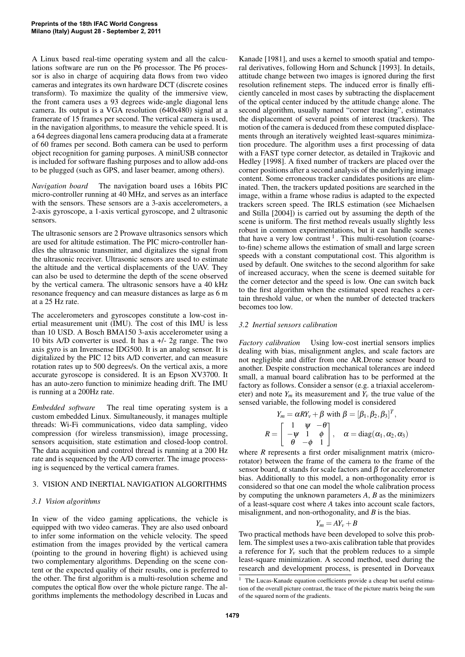A Linux based real-time operating system and all the calculations software are run on the P6 processor. The P6 processor is also in charge of acquiring data flows from two video cameras and integrates its own hardware DCT (discrete cosines transform). To maximize the quality of the immersive view, the front camera uses a 93 degrees wide-angle diagonal lens camera. Its output is a VGA resolution (640x480) signal at a framerate of 15 frames per second. The vertical camera is used, in the navigation algorithms, to measure the vehicle speed. It is a 64 degrees diagonal lens camera producing data at a framerate of 60 frames per second. Both camera can be used to perform object recognition for gaming purposes. A miniUSB connector is included for software flashing purposes and to allow add-ons to be plugged (such as GPS, and laser beamer, among others).

*Navigation board* The navigation board uses a 16bits PIC micro-controller running at 40 MHz, and serves as an interface with the sensors. These sensors are a 3-axis accelerometers, a 2-axis gyroscope, a 1-axis vertical gyroscope, and 2 ultrasonic sensors.

The ultrasonic sensors are 2 Prowave ultrasonics sensors which are used for altitude estimation. The PIC micro-controller handles the ultrasonic transmitter, and digitalizes the signal from the ultrasonic receiver. Ultrasonic sensors are used to estimate the altitude and the vertical displacements of the UAV. They can also be used to determine the depth of the scene observed by the vertical camera. The ultrasonic sensors have a 40 kHz resonance frequency and can measure distances as large as 6 m at a 25 Hz rate.

The accelerometers and gyroscopes constitute a low-cost inertial measurement unit (IMU). The cost of this IMU is less than 10 USD. A Bosch BMA150 3-axis accelerometer using a 10 bits A/D converter is used. It has a +/- 2g range. The two axis gyro is an Invensense IDG500. It is an analog sensor. It is digitalized by the PIC 12 bits A/D converter, and can measure rotation rates up to 500 degrees/s. On the vertical axis, a more accurate gyroscope is considered. It is an Epson XV3700. It has an auto-zero function to minimize heading drift. The IMU is running at a 200Hz rate.

*Embedded software* The real time operating system is a custom embedded Linux. Simultaneously, it manages multiple threads: Wi-Fi communications, video data sampling, video compression (for wireless transmission), image processing, sensors acquisition, state estimation and closed-loop control. The data acquisition and control thread is running at a 200 Hz rate and is sequenced by the A/D converter. The image processing is sequenced by the vertical camera frames.

# 3. VISION AND INERTIAL NAVIGATION ALGORITHMS

# *3.1 Vision algorithms*

In view of the video gaming applications, the vehicle is equipped with two video cameras. They are also used onboard to infer some information on the vehicle velocity. The speed estimation from the images provided by the vertical camera (pointing to the ground in hovering flight) is achieved using two complementary algorithms. Depending on the scene content or the expected quality of their results, one is preferred to the other. The first algorithm is a multi-resolution scheme and computes the optical flow over the whole picture range. The algorithms implements the methodology described in Lucas and Kanade [1981], and uses a kernel to smooth spatial and temporal derivatives, following Horn and Schunck [1993]. In details, attitude change between two images is ignored during the first resolution refinement steps. The induced error is finally efficiently canceled in most cases by subtracting the displacement of the optical center induced by the attitude change alone. The second algorithm, usually named "corner tracking", estimates the displacement of several points of interest (trackers). The motion of the camera is deduced from these computed displacements through an iteratively weighted least-squares minimization procedure. The algorithm uses a first processing of data with a FAST type corner detector, as detailed in Trajkovic and Hedley [1998]. A fixed number of trackers are placed over the corner positions after a second analysis of the underlying image content. Some erroneous tracker candidates positions are eliminated. Then, the trackers updated positions are searched in the image, within a frame whose radius is adapted to the expected trackers screen speed. The IRLS estimation (see Michaelsen and Stilla [2004]) is carried out by assuming the depth of the scene is uniform. The first method reveals usually slightly less robust in common experimentations, but it can handle scenes that have a very low contrast<sup>1</sup>. This multi-resolution (coarseto-fine) scheme allows the estimation of small and large screen speeds with a constant computational cost. This algorithm is used by default. One switches to the second algorithm for sake of increased accuracy, when the scene is deemed suitable for the corner detector and the speed is low. One can switch back to the first algorithm when the estimated speed reaches a certain threshold value, or when the number of detected trackers becomes too low.

# *3.2 Inertial sensors calibration*

*Factory calibration* Using low-cost inertial sensors implies dealing with bias, misalignment angles, and scale factors are not negligible and differ from one AR.Drone sensor board to another. Despite construction mechanical tolerances are indeed small, a manual board calibration has to be performed at the factory as follows. Consider a sensor (e.g. a triaxial accelerometer) and note  $Y_m$  its measurement and  $Y_v$  the true value of the sensed variable, the following model is considered

$$
Y_m = \alpha R Y_v + \beta \text{ with } \beta = [\beta_1, \beta_2, \beta_3]^T,
$$
  

$$
R = \begin{bmatrix} 1 & \psi & -\theta \\ -\psi & 1 & \phi \\ \theta & -\phi & 1 \end{bmatrix}, \quad \alpha = \text{diag}(\alpha_1, \alpha_2, \alpha_3)
$$

where *R* represents a first order misalignment matrix (microrotator) between the frame of the camera to the frame of the sensor board,  $\alpha$  stands for scale factors and  $\beta$  for accelerometer bias. Additionally to this model, a non-orthogonality error is considered so that one can model the whole calibration process by computing the unknown parameters *A*, *B* as the minimizers of a least-square cost where *A* takes into account scale factors, misalignment, and non-orthogonality, and *B* is the bias.

$$
Y_m = A Y_v + B
$$

Two practical methods have been developed to solve this problem. The simplest uses a two-axis calibration table that provides a reference for  $Y_v$  such that the problem reduces to a simple least-square minimization. A second method, used during the research and development process, is presented in Dorveaux

 $1$  The Lucas-Kanade equation coefficients provide a cheap but useful estimation of the overall picture contrast, the trace of the picture matrix being the sum of the squared norm of the gradients.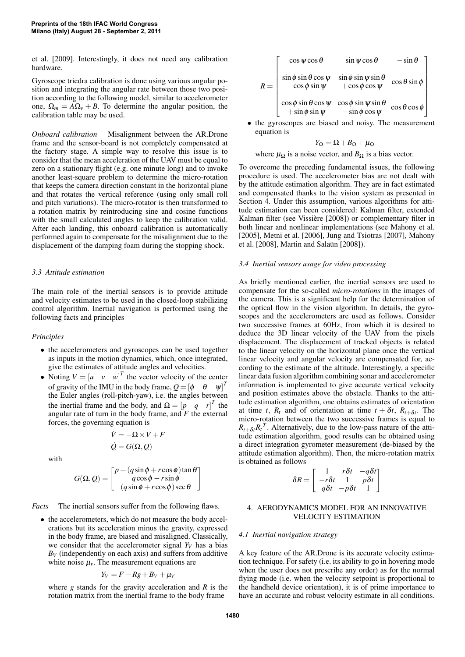et al. [2009]. Interestingly, it does not need any calibration hardware.

Gyroscope triedra calibration is done using various angular position and integrating the angular rate between those two position according to the following model, similar to accelerometer one,  $\Omega_m = A\Omega_v + B$ . To determine the angular position, the calibration table may be used.

*Onboard calibration* Misalignment between the AR.Drone frame and the sensor-board is not completely compensated at the factory stage. A simple way to resolve this issue is to consider that the mean acceleration of the UAV must be equal to zero on a stationary flight (e.g. one minute long) and to invoke another least-square problem to determine the micro-rotation that keeps the camera direction constant in the horizontal plane and that rotates the vertical reference (using only small roll and pitch variations). The micro-rotator is then transformed to a rotation matrix by reintroducing sine and cosine functions with the small calculated angles to keep the calibration valid. After each landing, this onboard calibration is automatically performed again to compensate for the misalignment due to the displacement of the damping foam during the stopping shock.

# *3.3 Attitude estimation*

The main role of the inertial sensors is to provide attitude and velocity estimates to be used in the closed-loop stabilizing control algorithm. Inertial navigation is performed using the following facts and principles

#### *Principles*

- the accelerometers and gyroscopes can be used together as inputs in the motion dynamics, which, once integrated, give the estimates of attitude angles and velocities.
- Noting  $V = \begin{bmatrix} u & v & w \end{bmatrix}^T$  the vector velocity of the center of gravity of the IMU in the body frame,  $Q = [\phi \quad \theta \quad \psi]^T$ the Euler angles (roll-pitch-yaw), i.e. the angles between the inertial frame and the body, and  $\Omega = \begin{bmatrix} p & q & r \end{bmatrix}^T$  the angular rate of turn in the body frame, and *F* the external forces, the governing equation is

$$
\dot{V} = -\Omega \times V + F
$$

$$
\dot{Q} = G(\Omega, Q)
$$

with

$$
G(\Omega, Q) = \begin{bmatrix} p + (q \sin \phi + r \cos \phi) \tan \theta \\ q \cos \phi - r \sin \phi \\ (q \sin \phi + r \cos \phi) \sec \theta \end{bmatrix}
$$

*Facts* The inertial sensors suffer from the following flaws.

• the accelerometers, which do not measure the body accelerations but its acceleration minus the gravity, expressed in the body frame, are biased and misaligned. Classically, we consider that the accelerometer signal  $Y_V$  has a bias  $B_V$  (independently on each axis) and suffers from additive white noise  $\mu$ <sup>*v*</sup>. The measurement equations are

$$
Y_V = F - Rg + B_V + \mu_V
$$

where *g* stands for the gravity acceleration and *R* is the rotation matrix from the inertial frame to the body frame

$$
R = \begin{bmatrix} \cos \psi \cos \theta & \sin \psi \cos \theta & -\sin \theta \\ \sin \phi \sin \theta \cos \psi & \sin \phi \sin \psi \sin \theta & \cos \theta \sin \phi \\ -\cos \phi \sin \psi & +\cos \phi \cos \psi & \cos \theta \sin \phi \\ \cos \phi \sin \theta \cos \psi & \cos \phi \sin \psi \sin \theta & \cos \theta \cos \phi \\ +\sin \phi \sin \psi & -\sin \phi \cos \psi & \cos \theta \cos \phi \end{bmatrix}
$$

• the gyroscopes are biased and noisy. The measurement equation is

$$
Y_{\Omega} = \Omega + B_{\Omega} + \mu_{\Omega}
$$

where  $\mu_{\Omega}$  is a noise vector, and  $B_{\Omega}$  is a bias vector.

To overcome the preceding fundamental issues, the following procedure is used. The accelerometer bias are not dealt with by the attitude estimation algorithm. They are in fact estimated and compensated thanks to the vision system as presented in Section 4. Under this assumption, various algorithms for attitude estimation can been considered: Kalman filter, extended Kalman filter (see Vissière [2008]) or complementary filter in both linear and nonlinear implementations (see Mahony et al. [2005], Metni et al. [2006], Jung and Tsiotras [2007], Mahony et al. [2008], Martin and Salaün [2008]).

#### *3.4 Inertial sensors usage for video processing*

As briefly mentioned earlier, the inertial sensors are used to compensate for the so-called *micro-rotations* in the images of the camera. This is a significant help for the determination of the optical flow in the vision algorithm. In details, the gyroscopes and the accelerometers are used as follows. Consider two successive frames at 60Hz, from which it is desired to deduce the 3D linear velocity of the UAV from the pixels displacement. The displacement of tracked objects is related to the linear velocity on the horizontal plane once the vertical linear velocity and angular velocity are compensated for, according to the estimate of the altitude. Interestingly, a specific linear data fusion algorithm combining sonar and accelerometer information is implemented to give accurate vertical velocity and position estimates above the obstacle. Thanks to the attitude estimation algorithm, one obtains estimates of orientation at time *t*,  $R_t$  and of orientation at time  $t + \delta t$ ,  $R_{t+\delta t}$ . The micro-rotation between the two successive frames is equal to  $R_{t+\delta t}R_t^T$ . Alternatively, due to the low-pass nature of the attitude estimation algorithm, good results can be obtained using a direct integration gyrometer measurement (de-biased by the attitude estimation algorithm). Then, the micro-rotation matrix is obtained as follows

$$
\delta R = \left[ \begin{array}{cc} 1 & r \delta t & -q \delta t \\ -r \delta t & 1 & p \delta t \\ q \delta t & -p \delta t & 1 \end{array} \right]
$$

# 4. AERODYNAMICS MODEL FOR AN INNOVATIVE VELOCITY ESTIMATION

#### *4.1 Inertial navigation strategy*

A key feature of the AR.Drone is its accurate velocity estimation technique. For safety (i.e. its ability to go in hovering mode when the user does not prescribe any order) as for the normal flying mode (i.e. when the velocity setpoint is proportional to the handheld device orientation), it is of prime importance to have an accurate and robust velocity estimate in all conditions.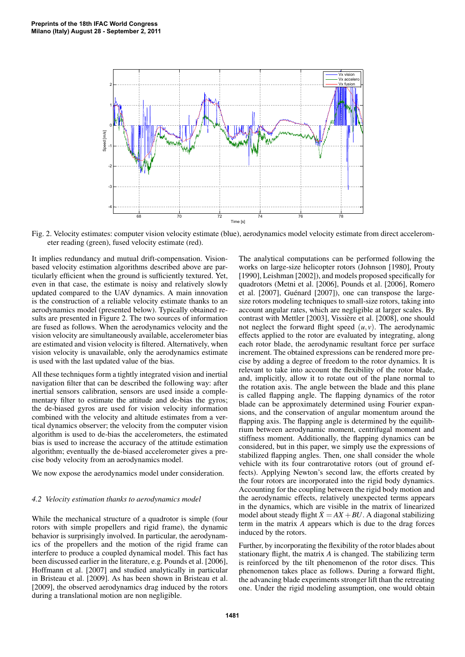

Fig. 2. Velocity estimates: computer vision velocity estimate (blue), aerodynamics model velocity estimate from direct accelerometer reading (green), fused velocity estimate (red).

It implies redundancy and mutual drift-compensation. Visionbased velocity estimation algorithms described above are particularly efficient when the ground is sufficiently textured. Yet, even in that case, the estimate is noisy and relatively slowly updated compared to the UAV dynamics. A main innovation is the construction of a reliable velocity estimate thanks to an aerodynamics model (presented below). Typically obtained results are presented in Figure 2. The two sources of information are fused as follows. When the aerodynamics velocity and the vision velocity are simultaneously available, accelerometer bias are estimated and vision velocity is filtered. Alternatively, when vision velocity is unavailable, only the aerodynamics estimate is used with the last updated value of the bias.

All these techniques form a tightly integrated vision and inertial navigation filter that can be described the following way: after inertial sensors calibration, sensors are used inside a complementary filter to estimate the attitude and de-bias the gyros; the de-biased gyros are used for vision velocity information combined with the velocity and altitude estimates from a vertical dynamics observer; the velocity from the computer vision algorithm is used to de-bias the accelerometers, the estimated bias is used to increase the accuracy of the attitude estimation algorithm; eventually the de-biased accelerometer gives a precise body velocity from an aerodynamics model.

We now expose the aerodynamics model under consideration.

# *4.2 Velocity estimation thanks to aerodynamics model*

While the mechanical structure of a quadrotor is simple (four rotors with simple propellers and rigid frame), the dynamic behavior is surprisingly involved. In particular, the aerodynamics of the propellers and the motion of the rigid frame can interfere to produce a coupled dynamical model. This fact has been discussed earlier in the literature, e.g. Pounds et al. [2006], Hoffmann et al. [2007] and studied analytically in particular in Bristeau et al. [2009]. As has been shown in Bristeau et al. [2009], the observed aerodynamics drag induced by the rotors during a translational motion are non negligible.

The analytical computations can be performed following the works on large-size helicopter rotors (Johnson [1980], Prouty [1990], Leishman [2002]), and models proposed specifically for quadrotors (Metni et al. [2006], Pounds et al. [2006], Romero et al. [2007], Guénard [2007]), one can transpose the largesize rotors modeling techniques to small-size rotors, taking into account angular rates, which are negligible at larger scales. By contrast with Mettler [2003], Vissière et al. [2008], one should not neglect the forward flight speed  $(u, v)$ . The aerodynamic effects applied to the rotor are evaluated by integrating, along each rotor blade, the aerodynamic resultant force per surface increment. The obtained expressions can be rendered more precise by adding a degree of freedom to the rotor dynamics. It is relevant to take into account the flexibility of the rotor blade, and, implicitly, allow it to rotate out of the plane normal to the rotation axis. The angle between the blade and this plane is called flapping angle. The flapping dynamics of the rotor blade can be approximately determined using Fourier expansions, and the conservation of angular momentum around the flapping axis. The flapping angle is determined by the equilibrium between aerodynamic moment, centrifugal moment and stiffness moment. Additionally, the flapping dynamics can be considered, but in this paper, we simply use the expressions of stabilized flapping angles. Then, one shall consider the whole vehicle with its four contrarotative rotors (out of ground effects). Applying Newton's second law, the efforts created by the four rotors are incorporated into the rigid body dynamics. Accounting for the coupling between the rigid body motion and the aerodynamic effects, relatively unexpected terms appears in the dynamics, which are visible in the matrix of linearized model about steady flight  $\dot{X} = AX + BU$ . A diagonal stabilizing term in the matrix *A* appears which is due to the drag forces induced by the rotors.

Further, by incorporating the flexibility of the rotor blades about stationary flight, the matrix *A* is changed. The stabilizing term is reinforced by the tilt phenomenon of the rotor discs. This phenomenon takes place as follows. During a forward flight, the advancing blade experiments stronger lift than the retreating one. Under the rigid modeling assumption, one would obtain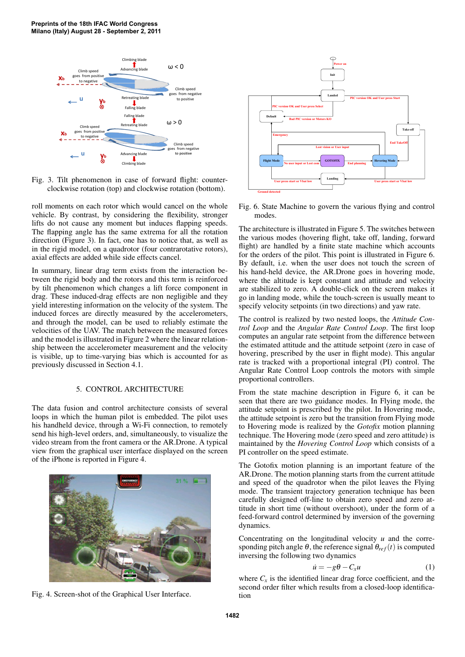

Fig. 3. Tilt phenomenon in case of forward flight: counterclockwise rotation (top) and clockwise rotation (bottom).

roll moments on each rotor which would cancel on the whole vehicle. By contrast, by considering the flexibility, stronger lifts do not cause any moment but induces flapping speeds. The flapping angle has the same extrema for all the rotation direction (Figure 3). In fact, one has to notice that, as well as in the rigid model, on a quadrotor (four contrarotative rotors), axial effects are added while side effects cancel.

In summary, linear drag term exists from the interaction between the rigid body and the rotors and this term is reinforced by tilt phenomenon which changes a lift force component in drag. These induced-drag effects are non negligible and they yield interesting information on the velocity of the system. The induced forces are directly measured by the accelerometers, and through the model, can be used to reliably estimate the velocities of the UAV. The match between the measured forces and the model is illustrated in Figure 2 where the linear relationship between the accelerometer measurement and the velocity is visible, up to time-varying bias which is accounted for as previously discussed in Section 4.1.

# 5. CONTROL ARCHITECTURE

The data fusion and control architecture consists of several loops in which the human pilot is embedded. The pilot uses his handheld device, through a Wi-Fi connection, to remotely send his high-level orders, and, simultaneously, to visualize the video stream from the front camera or the AR.Drone. A typical view from the graphical user interface displayed on the screen of the iPhone is reported in Figure 4.



Fig. 4. Screen-shot of the Graphical User Interface.



Fig. 6. State Machine to govern the various flying and control modes.

The architecture is illustrated in Figure 5. The switches between the various modes (hovering flight, take off, landing, forward flight) are handled by a finite state machine which accounts for the orders of the pilot. This point is illustrated in Figure 6. By default, i.e. when the user does not touch the screen of his hand-held device, the AR.Drone goes in hovering mode, where the altitude is kept constant and attitude and velocity are stabilized to zero. A double-click on the screen makes it go in landing mode, while the touch-screen is usually meant to specify velocity setpoints (in two directions) and yaw rate.

The control is realized by two nested loops, the *Attitude Control Loop* and the *Angular Rate Control Loop*. The first loop computes an angular rate setpoint from the difference between the estimated attitude and the attitude setpoint (zero in case of hovering, prescribed by the user in flight mode). This angular rate is tracked with a proportional integral (PI) control. The Angular Rate Control Loop controls the motors with simple proportional controllers.

From the state machine description in Figure 6, it can be seen that there are two guidance modes. In Flying mode, the attitude setpoint is prescribed by the pilot. In Hovering mode, the attitude setpoint is zero but the transition from Flying mode to Hovering mode is realized by the *Gotofix* motion planning technique. The Hovering mode (zero speed and zero attitude) is maintained by the *Hovering Control Loop* which consists of a PI controller on the speed estimate.

The Gotofix motion planning is an important feature of the AR.Drone. The motion planning starts from the current attitude and speed of the quadrotor when the pilot leaves the Flying mode. The transient trajectory generation technique has been carefully designed off-line to obtain zero speed and zero attitude in short time (without overshoot), under the form of a feed-forward control determined by inversion of the governing dynamics.

Concentrating on the longitudinal velocity *u* and the corresponding pitch angle  $\theta$ , the reference signal  $\theta_{ref}(t)$  is computed inversing the following two dynamics

$$
\dot{u} = -g\theta - C_x u \tag{1}
$$

where  $C_x$  is the identified linear drag force coefficient, and the second order filter which results from a closed-loop identification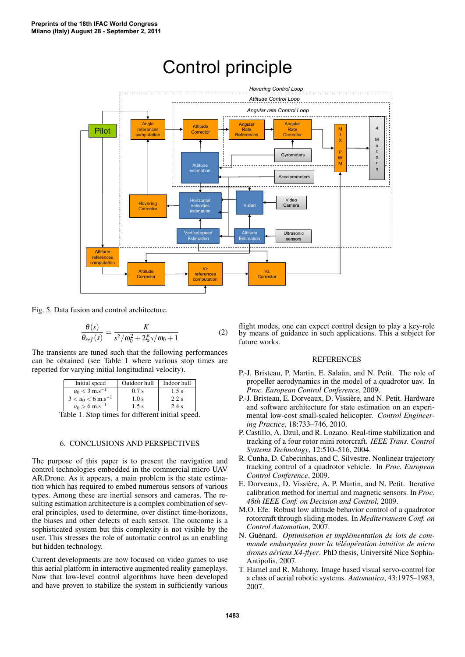

# Control principle

Fig. 5. Data fusion and control architecture.

$$
\frac{\theta(s)}{\theta_{ref}(s)} = \frac{K}{s^2/\omega_0^2 + 2\xi s/\omega_0 + 1}
$$
(2)

The transients are tuned such that the following performances can be obtained (see Table 1 where various stop times are reported for varying initial longitudinal velocity).

| Initial speed                                          | Outdoor hull | Indoor hull |
|--------------------------------------------------------|--------------|-------------|
| $u_0$ < 3 m.s <sup>-1</sup>                            | 0.7s         | 1.5 s       |
| $3 < u_0 < 6$ m.s <sup>-1</sup>                        | 1.0 s        | $2.2$ s     |
| $u_0 > 6$ m.s <sup>-1</sup>                            | 1.5 s        | 2.4s        |
| Stop times for different initial spee<br><b>Րշե1 շ</b> |              |             |

Table 1. Stop times for different initial speed.

# 6. CONCLUSIONS AND PERSPECTIVES

The purpose of this paper is to present the navigation and control technologies embedded in the commercial micro UAV AR.Drone. As it appears, a main problem is the state estimation which has required to embed numerous sensors of various types. Among these are inertial sensors and cameras. The resulting estimation architecture is a complex combination of several principles, used to determine, over distinct time-horizons, the biases and other defects of each sensor. The outcome is a sophisticated system but this complexity is not visible by the user. This stresses the role of automatic control as an enabling but hidden technology.

Current developments are now focused on video games to use this aerial platform in interactive augmented reality gameplays. Now that low-level control algorithms have been developed and have proven to stabilize the system in sufficiently various flight modes, one can expect control design to play a key-role by means of guidance in such applications. This a subject for future works.

#### **REFERENCES**

- P.-J. Bristeau, P. Martin, E. Salaün, and N. Petit. The role of propeller aerodynamics in the model of a quadrotor uav. In *Proc. European Control Conference*, 2009.
- P.-J. Bristeau, E. Dorveaux, D. Vissière, and N. Petit. Hardware and software architecture for state estimation on an experimental low-cost small-scaled helicopter. *Control Engineering Practice*, 18:733–746, 2010.
- P. Castillo, A. Dzul, and R. Lozano. Real-time stabilization and tracking of a four rotor mini rotorcraft. *IEEE Trans. Control Systems Technology*, 12:510–516, 2004.
- R. Cunha, D. Cabecinhas, and C. Silvestre. Nonlinear trajectory tracking control of a quadrotor vehicle. In *Proc. European Control Conference*, 2009.
- E. Dorveaux, D. Vissière, A. P. Martin, and N. Petit. Iterative calibration method for inertial and magnetic sensors. In *Proc. 48th IEEE Conf. on Decision and Control*, 2009.
- M.O. Efe. Robust low altitude behavior control of a quadrotor rotorcraft through sliding modes. In *Mediterranean Conf. on Control Automation*, 2007.
- N. Guénard. *Optimisation et implémentation de lois de commande embarquées pour la téléopération intuitive de micro drones aériens X4-flyer*. PhD thesis, Université Nice Sophia-Antipolis, 2007.
- T. Hamel and R. Mahony. Image based visual servo-control for a class of aerial robotic systems. *Automatica*, 43:1975–1983, 2007.